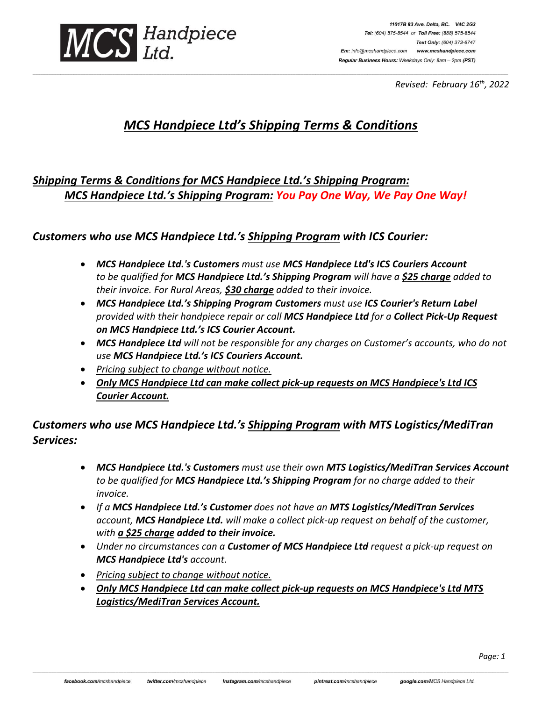

11017B 83 Ave. Delta, BC. V4C 2G3 Tel: (604) 575-8544 or Toll Free: (888) 575-8544 Text Only: (604) 373-6747 Em: info@mcshandpiece.com www.mcshandpiece.com Regular Business Hours: Weekdays Only: 8am - 2pm (PST)

*Revised: February 16th , 2022*

# *MCS Handpiece Ltd's Shipping Terms & Conditions*

,一个人的人都是不是,他们的人都是不是,他们的人都是不是,他们的人都是不是,他们的人都是不是,他们的人都是不是,他们的人都是不是,他们的人都是不是,他们的人都是不

### *Shipping Terms & Conditions for MCS Handpiece Ltd.'s Shipping Program: MCS Handpiece Ltd.'s Shipping Program: You Pay One Way, We Pay One Way!*

#### *Customers who use MCS Handpiece Ltd.'s Shipping Program with ICS Courier:*

- *MCS Handpiece Ltd.'s Customers must use MCS Handpiece Ltd's ICS Couriers Account to be qualified for MCS Handpiece Ltd.'s Shipping Program will have a \$25 charge added to their invoice. For Rural Areas, \$30 charge added to their invoice.*
- *MCS Handpiece Ltd.'s Shipping Program Customers must use ICS Courier's Return Label provided with their handpiece repair or call MCS Handpiece Ltd for a Collect Pick-Up Request on MCS Handpiece Ltd.'s ICS Courier Account.*
- *MCS Handpiece Ltd will not be responsible for any charges on Customer's accounts, who do not use MCS Handpiece Ltd.'s ICS Couriers Account.*
- *Pricing subject to change without notice.*
- *Only MCS Handpiece Ltd can make collect pick-up requests on MCS Handpiece's Ltd ICS Courier Account.*

### *Customers who use MCS Handpiece Ltd.'s Shipping Program with MTS Logistics/MediTran Services:*

- *MCS Handpiece Ltd.'s Customers must use their own MTS Logistics/MediTran Services Account to be qualified for MCS Handpiece Ltd.'s Shipping Program for no charge added to their invoice.*
- *If a MCS Handpiece Ltd.'s Customer does not have an MTS Logistics/MediTran Services account, MCS Handpiece Ltd. will make a collect pick-up request on behalf of the customer, with a \$25 charge added to their invoice.*
- *Under no circumstances can a Customer of MCS Handpiece Ltd request a pick-up request on MCS Handpiece Ltd's account.*
- *Pricing subject to change without notice.*
- *Only MCS Handpiece Ltd can make collect pick-up requests on MCS Handpiece's Ltd MTS Logistics/MediTran Services Account.*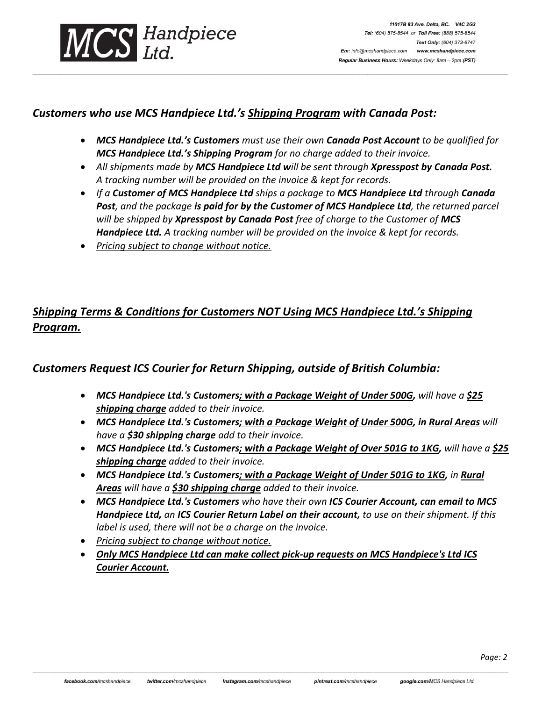

#### *Customers who use MCS Handpiece Ltd.'s Shipping Program with Canada Post:*

• *MCS Handpiece Ltd.'s Customers must use their own Canada Post Account to be qualified for MCS Handpiece Ltd.'s Shipping Program for no charge added to their invoice.*

,一个人的人都是不是,他们的人都是不是,他们的人都是不是,他们的人都是不是,他们的人都是不是,他们的人都是不是,他们的人都是不是,他们的人都是不是,他们的人都是不

- *All shipments made by MCS Handpiece Ltd will be sent through Xpresspost by Canada Post. A tracking number will be provided on the invoice & kept for records.*
- *If a Customer of MCS Handpiece Ltd ships a package to MCS Handpiece Ltd through Canada Post, and the package is paid for by the Customer of MCS Handpiece Ltd, the returned parcel will be shipped by Xpresspost by Canada Post free of charge to the Customer of MCS Handpiece Ltd. A tracking number will be provided on the invoice & kept for records.*
- *Pricing subject to change without notice.*

# *Shipping Terms & Conditions for Customers NOT Using MCS Handpiece Ltd.'s Shipping Program.*

### *Customers Request ICS Courier for Return Shipping, outside of British Columbia:*

- MCS Handpiece Ltd.'s Customers; with a Package Weight of Under 500G, will have a \$25 *shipping charge added to their invoice.*
- MCS Handpiece Ltd.'s Customers; with a Package Weight of Under 500G, in Rural Areas will *have a \$30 shipping charge add to their invoice.*
- *MCS Handpiece Ltd.'s Customers; with a Package Weight of Over 501G to 1KG, will have a \$25 shipping charge added to their invoice.*
- *MCS Handpiece Ltd.'s Customers; with a Package Weight of Under 501G to 1KG, in Rural Areas will have a \$30 shipping charge added to their invoice.*
- *MCS Handpiece Ltd.'s Customers who have their own ICS Courier Account, can email to MCS Handpiece Ltd, an ICS Courier Return Label on their account, to use on their shipment. If this label is used, there will not be a charge on the invoice.*
- *Pricing subject to change without notice.*
- *Only MCS Handpiece Ltd can make collect pick-up requests on MCS Handpiece's Ltd ICS Courier Account.*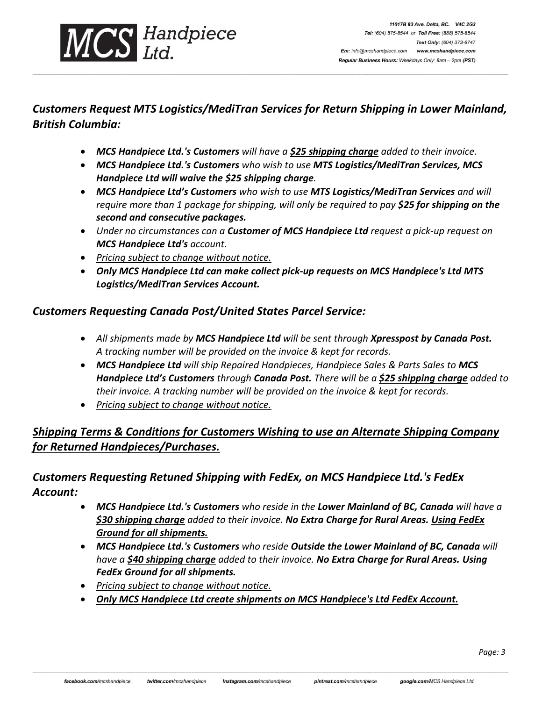

### *Customers Request MTS Logistics/MediTran Services for Return Shipping in Lower Mainland, British Columbia:*

,一个人的人都是不是,他们的人都是不是,他们的人都是不是,他们的人都是不是,他们的人都是不是,他们的人都是不是,他们的人都是不是,他们的人都是不是,他们的人都是不

- *MCS Handpiece Ltd.'s Customers will have a \$25 shipping charge added to their invoice.*
- *MCS Handpiece Ltd.'s Customers who wish to use MTS Logistics/MediTran Services, MCS Handpiece Ltd will waive the \$25 shipping charge.*
- *MCS Handpiece Ltd's Customers who wish to use MTS Logistics/MediTran Services and will require more than 1 package for shipping, will only be required to pay \$25 for shipping on the second and consecutive packages.*
- *Under no circumstances can a Customer of MCS Handpiece Ltd request a pick-up request on MCS Handpiece Ltd's account.*
- *Pricing subject to change without notice.*
- *Only MCS Handpiece Ltd can make collect pick-up requests on MCS Handpiece's Ltd MTS Logistics/MediTran Services Account.*

#### *Customers Requesting Canada Post/United States Parcel Service:*

- *All shipments made by MCS Handpiece Ltd will be sent through Xpresspost by Canada Post. A tracking number will be provided on the invoice & kept for records.*
- *MCS Handpiece Ltd will ship Repaired Handpieces, Handpiece Sales & Parts Sales to MCS Handpiece Ltd's Customers through Canada Post. There will be a \$25 shipping charge added to their invoice. A tracking number will be provided on the invoice & kept for records.*
- *Pricing subject to change without notice.*

## *Shipping Terms & Conditions for Customers Wishing to use an Alternate Shipping Company for Returned Handpieces/Purchases.*

### *Customers Requesting Retuned Shipping with FedEx, on MCS Handpiece Ltd.'s FedEx Account:*

- *MCS Handpiece Ltd.'s Customers who reside in the Lower Mainland of BC, Canada will have a \$30 shipping charge added to their invoice. No Extra Charge for Rural Areas. Using FedEx Ground for all shipments.*
- *MCS Handpiece Ltd.'s Customers who reside Outside the Lower Mainland of BC, Canada will have a \$40 shipping charge added to their invoice. No Extra Charge for Rural Areas. Using FedEx Ground for all shipments.*
- *Pricing subject to change without notice.*
- *Only MCS Handpiece Ltd create shipments on MCS Handpiece's Ltd FedEx Account.*